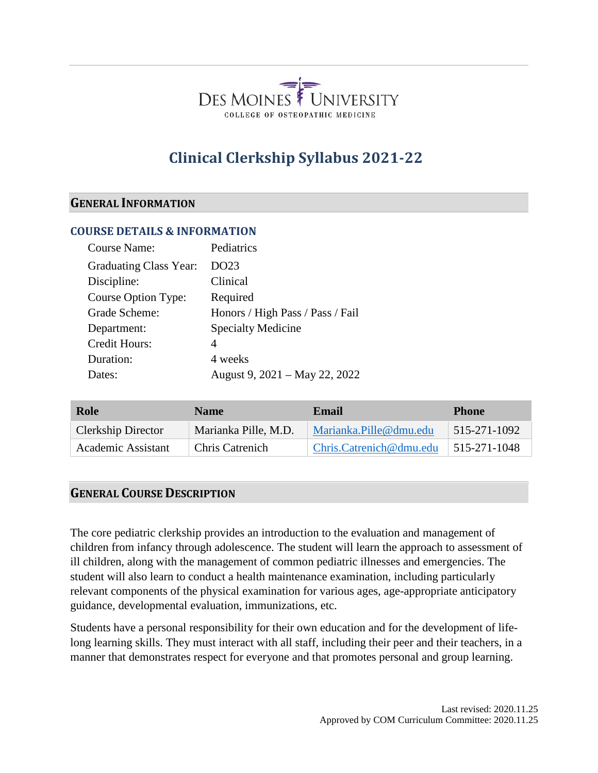

# **Clinical Clerkship Syllabus 2021-22**

#### **GENERAL INFORMATION**

#### **COURSE DETAILS & INFORMATION**

| <b>Course Name:</b>    | Pediatrics                       |
|------------------------|----------------------------------|
| Graduating Class Year: | DO23                             |
| Discipline:            | Clinical                         |
| Course Option Type:    | Required                         |
| Grade Scheme:          | Honors / High Pass / Pass / Fail |
| Department:            | <b>Specialty Medicine</b>        |
| Credit Hours:          | 4                                |
| Duration:              | 4 weeks                          |
| Dates:                 | August 9, 2021 – May 22, 2022    |

| Role                      | <b>Name</b>            | Email                   | <b>Phone</b>               |
|---------------------------|------------------------|-------------------------|----------------------------|
| <b>Clerkship Director</b> | Marianka Pille, M.D.   | Marianka.Pille@dmu.edu  | $\frac{1}{5}$ 515-271-1092 |
| Academic Assistant        | <b>Chris Catrenich</b> | Chris.Catrenich@dmu.edu | $ 515-271-1048$            |

#### **GENERAL COURSE DESCRIPTION**

The core pediatric clerkship provides an introduction to the evaluation and management of children from infancy through adolescence. The student will learn the approach to assessment of ill children, along with the management of common pediatric illnesses and emergencies. The student will also learn to conduct a health maintenance examination, including particularly relevant components of the physical examination for various ages, age-appropriate anticipatory guidance, developmental evaluation, immunizations, etc.

Students have a personal responsibility for their own education and for the development of lifelong learning skills. They must interact with all staff, including their peer and their teachers, in a manner that demonstrates respect for everyone and that promotes personal and group learning.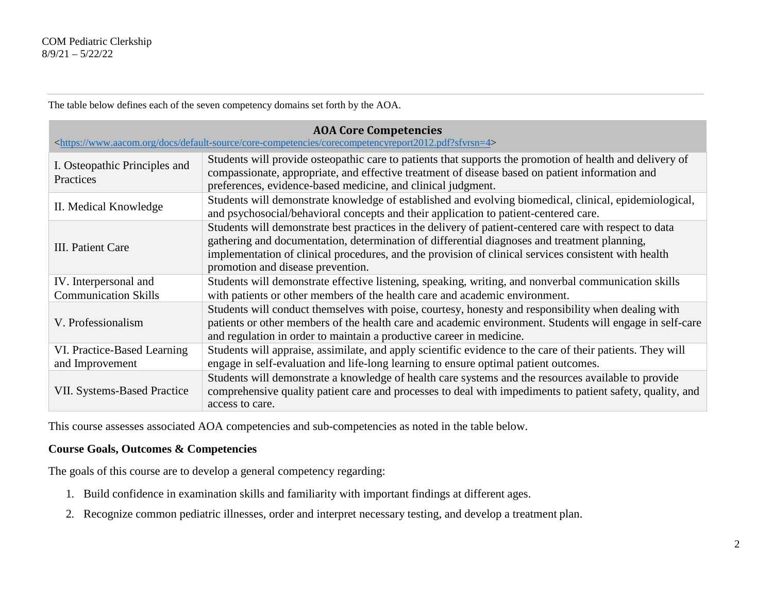The table below defines each of the seven competency domains set forth by the AOA.

| <b>AOA Core Competencies</b><br><https: core-competencies="" corecompetencyreport2012.pdf?sfvrsn="4" default-source="" docs="" www.aacom.org=""></https:> |                                                                                                                                                                                                                                                                                                                                                     |  |  |  |
|-----------------------------------------------------------------------------------------------------------------------------------------------------------|-----------------------------------------------------------------------------------------------------------------------------------------------------------------------------------------------------------------------------------------------------------------------------------------------------------------------------------------------------|--|--|--|
| I. Osteopathic Principles and<br>Practices                                                                                                                | Students will provide osteopathic care to patients that supports the promotion of health and delivery of<br>compassionate, appropriate, and effective treatment of disease based on patient information and<br>preferences, evidence-based medicine, and clinical judgment.                                                                         |  |  |  |
| II. Medical Knowledge                                                                                                                                     | Students will demonstrate knowledge of established and evolving biomedical, clinical, epidemiological,<br>and psychosocial/behavioral concepts and their application to patient-centered care.                                                                                                                                                      |  |  |  |
| III. Patient Care                                                                                                                                         | Students will demonstrate best practices in the delivery of patient-centered care with respect to data<br>gathering and documentation, determination of differential diagnoses and treatment planning,<br>implementation of clinical procedures, and the provision of clinical services consistent with health<br>promotion and disease prevention. |  |  |  |
| IV. Interpersonal and<br><b>Communication Skills</b>                                                                                                      | Students will demonstrate effective listening, speaking, writing, and nonverbal communication skills<br>with patients or other members of the health care and academic environment.                                                                                                                                                                 |  |  |  |
| V. Professionalism                                                                                                                                        | Students will conduct themselves with poise, courtesy, honesty and responsibility when dealing with<br>patients or other members of the health care and academic environment. Students will engage in self-care<br>and regulation in order to maintain a productive career in medicine.                                                             |  |  |  |
| VI. Practice-Based Learning<br>and Improvement                                                                                                            | Students will appraise, assimilate, and apply scientific evidence to the care of their patients. They will<br>engage in self-evaluation and life-long learning to ensure optimal patient outcomes.                                                                                                                                                  |  |  |  |
| <b>VII. Systems-Based Practice</b>                                                                                                                        | Students will demonstrate a knowledge of health care systems and the resources available to provide<br>comprehensive quality patient care and processes to deal with impediments to patient safety, quality, and<br>access to care.                                                                                                                 |  |  |  |

This course assesses associated AOA competencies and sub-competencies as noted in the table below.

#### **Course Goals, Outcomes & Competencies**

The goals of this course are to develop a general competency regarding:

- 1. Build confidence in examination skills and familiarity with important findings at different ages.
- 2. Recognize common pediatric illnesses, order and interpret necessary testing, and develop a treatment plan.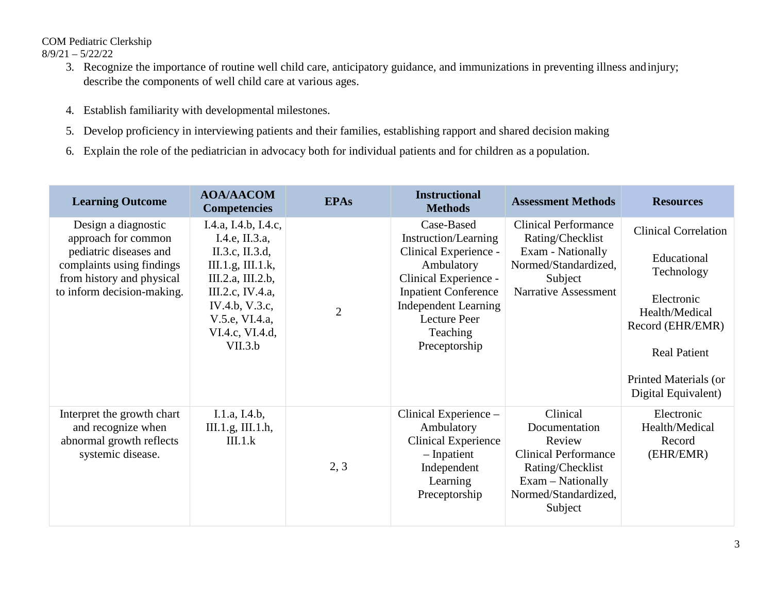COM Pediatric Clerkship

8/9/21 – 5/22/22

- 3. Recognize the importance of routine well child care, anticipatory guidance, and immunizations in preventing illness andinjury; describe the components of well child care at various ages.
- 4. Establish familiarity with developmental milestones.
- 5. Develop proficiency in interviewing patients and their families, establishing rapport and shared decision making
- 6. Explain the role of the pediatrician in advocacy both for individual patients and for children as a population.

| <b>Learning Outcome</b>                                                                                                                                      | <b>AOA/AACOM</b><br><b>Competencies</b>                                                                                                                                                   | <b>EPAs</b>    | <b>Instructional</b><br><b>Methods</b>                                                                                                                                                                               | <b>Assessment Methods</b>                                                                                                                      | <b>Resources</b>                                                                                                                                                                    |
|--------------------------------------------------------------------------------------------------------------------------------------------------------------|-------------------------------------------------------------------------------------------------------------------------------------------------------------------------------------------|----------------|----------------------------------------------------------------------------------------------------------------------------------------------------------------------------------------------------------------------|------------------------------------------------------------------------------------------------------------------------------------------------|-------------------------------------------------------------------------------------------------------------------------------------------------------------------------------------|
| Design a diagnostic<br>approach for common<br>pediatric diseases and<br>complaints using findings<br>from history and physical<br>to inform decision-making. | I.4.a, I.4.b, I.4.c,<br>I.4.e, II.3.a,<br>II.3.c, II.3.d,<br>III.1.g, III.1.k,<br>III.2.a, III.2.b,<br>III.2.c, IV.4.a,<br>IV.4.b, V.3.c,<br>V.5.e, VI.4.a,<br>VI.4.c, VI.4.d,<br>VII.3.b | $\overline{2}$ | Case-Based<br>Instruction/Learning<br>Clinical Experience -<br>Ambulatory<br>Clinical Experience -<br><b>Inpatient Conference</b><br><b>Independent Learning</b><br><b>Lecture Peer</b><br>Teaching<br>Preceptorship | <b>Clinical Performance</b><br>Rating/Checklist<br>Exam - Nationally<br>Normed/Standardized,<br>Subject<br>Narrative Assessment                | <b>Clinical Correlation</b><br>Educational<br>Technology<br>Electronic<br>Health/Medical<br>Record (EHR/EMR)<br><b>Real Patient</b><br>Printed Materials (or<br>Digital Equivalent) |
| Interpret the growth chart<br>and recognize when<br>abnormal growth reflects<br>systemic disease.                                                            | I.1.a, I.4.b,<br>III.1.g, III.1.h,<br>III.1.k                                                                                                                                             | 2, 3           | Clinical Experience -<br>Ambulatory<br><b>Clinical Experience</b><br>- Inpatient<br>Independent<br>Learning<br>Preceptorship                                                                                         | Clinical<br>Documentation<br>Review<br><b>Clinical Performance</b><br>Rating/Checklist<br>Exam – Nationally<br>Normed/Standardized,<br>Subject | Electronic<br>Health/Medical<br>Record<br>(EHR/EMR)                                                                                                                                 |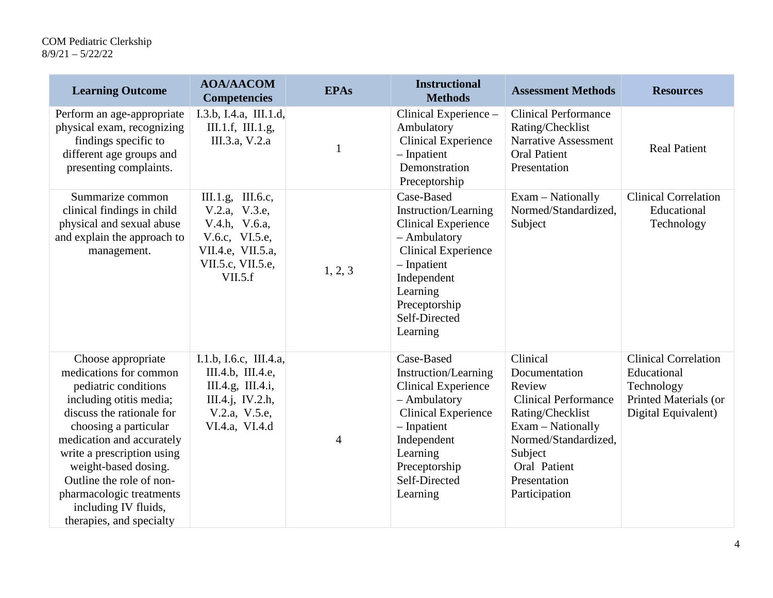| <b>Learning Outcome</b>                                                                                                                                                                                                                                                                                                                              | <b>AOA/AACOM</b><br><b>Competencies</b>                                                                                    | <b>EPAs</b>    | <b>Instructional</b><br><b>Methods</b>                                                                                                                                                                          | <b>Assessment Methods</b>                                                                                                                                                                       | <b>Resources</b>                                                                                         |
|------------------------------------------------------------------------------------------------------------------------------------------------------------------------------------------------------------------------------------------------------------------------------------------------------------------------------------------------------|----------------------------------------------------------------------------------------------------------------------------|----------------|-----------------------------------------------------------------------------------------------------------------------------------------------------------------------------------------------------------------|-------------------------------------------------------------------------------------------------------------------------------------------------------------------------------------------------|----------------------------------------------------------------------------------------------------------|
| Perform an age-appropriate<br>physical exam, recognizing<br>findings specific to<br>different age groups and<br>presenting complaints.                                                                                                                                                                                                               | I.3.b, I.4.a, III.1.d,<br>III.1.f, III.1.g,<br>III.3.a, V.2.a                                                              | $\mathbf{1}$   | Clinical Experience -<br>Ambulatory<br><b>Clinical Experience</b><br>$-$ Inpatient<br>Demonstration<br>Preceptorship                                                                                            | <b>Clinical Performance</b><br>Rating/Checklist<br>Narrative Assessment<br><b>Oral Patient</b><br>Presentation                                                                                  | <b>Real Patient</b>                                                                                      |
| Summarize common<br>clinical findings in child<br>physical and sexual abuse<br>and explain the approach to<br>management.                                                                                                                                                                                                                            | III.1.g, III.6.c,<br>V.2.a, V.3.e,<br>V.4.h, V.6.a,<br>V.6.c, VI.5.e,<br>VII.4.e, VII.5.a,<br>VII.5.c, VII.5.e,<br>VII.5.f | 1, 2, 3        | Case-Based<br><b>Instruction/Learning</b><br><b>Clinical Experience</b><br>- Ambulatory<br><b>Clinical Experience</b><br>$-$ Inpatient<br>Independent<br>Learning<br>Preceptorship<br>Self-Directed<br>Learning | Exam - Nationally<br>Normed/Standardized,<br>Subject                                                                                                                                            | <b>Clinical Correlation</b><br>Educational<br>Technology                                                 |
| Choose appropriate<br>medications for common<br>pediatric conditions<br>including otitis media;<br>discuss the rationale for<br>choosing a particular<br>medication and accurately<br>write a prescription using<br>weight-based dosing.<br>Outline the role of non-<br>pharmacologic treatments<br>including IV fluids,<br>therapies, and specialty | I.1.b, I.6.c, III.4.a,<br>III.4.b, III.4.e,<br>III.4.g, III.4.i,<br>III.4.j, IV.2.h,<br>V.2.a, V.5.e,<br>VI.4.a, VI.4.d    | $\overline{4}$ | Case-Based<br>Instruction/Learning<br><b>Clinical Experience</b><br>- Ambulatory<br><b>Clinical Experience</b><br>- Inpatient<br>Independent<br>Learning<br>Preceptorship<br>Self-Directed<br>Learning          | Clinical<br>Documentation<br>Review<br><b>Clinical Performance</b><br>Rating/Checklist<br>Exam - Nationally<br>Normed/Standardized,<br>Subject<br>Oral Patient<br>Presentation<br>Participation | <b>Clinical Correlation</b><br>Educational<br>Technology<br>Printed Materials (or<br>Digital Equivalent) |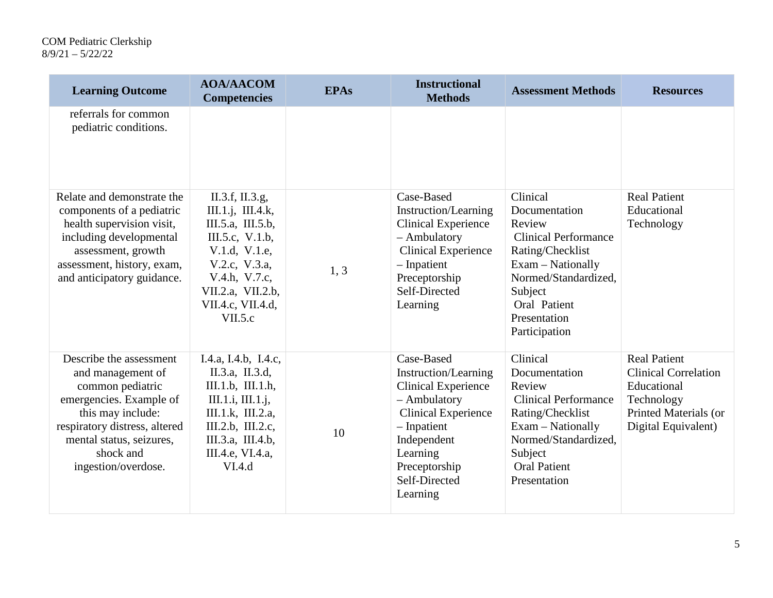| <b>Learning Outcome</b>                                                                                                                                                                                           | <b>AOA/AACOM</b><br><b>Competencies</b>                                                                                                                                              | <b>EPAs</b> | <b>Instructional</b><br><b>Methods</b>                                                                                                                                                                 | <b>Assessment Methods</b>                                                                                                                                                                       | <b>Resources</b>                                                                                                                |
|-------------------------------------------------------------------------------------------------------------------------------------------------------------------------------------------------------------------|--------------------------------------------------------------------------------------------------------------------------------------------------------------------------------------|-------------|--------------------------------------------------------------------------------------------------------------------------------------------------------------------------------------------------------|-------------------------------------------------------------------------------------------------------------------------------------------------------------------------------------------------|---------------------------------------------------------------------------------------------------------------------------------|
| referrals for common<br>pediatric conditions.                                                                                                                                                                     |                                                                                                                                                                                      |             |                                                                                                                                                                                                        |                                                                                                                                                                                                 |                                                                                                                                 |
| Relate and demonstrate the<br>components of a pediatric<br>health supervision visit,<br>including developmental<br>assessment, growth<br>assessment, history, exam,<br>and anticipatory guidance.                 | II.3.f, II.3.g,<br>III.1.i, III.4.k,<br>III.5.a, III.5.b,<br>III.5.c, V.1.b,<br>V.1.d, V.1.e,<br>V.2.c, V.3.a,<br>V.4.h, V.7.c,<br>VII.2.a, VII.2.b,<br>VII.4.c, VII.4.d,<br>VII.5.c | 1, 3        | Case-Based<br>Instruction/Learning<br><b>Clinical Experience</b><br>- Ambulatory<br><b>Clinical Experience</b><br>- Inpatient<br>Preceptorship<br>Self-Directed<br>Learning                            | Clinical<br>Documentation<br>Review<br><b>Clinical Performance</b><br>Rating/Checklist<br>Exam - Nationally<br>Normed/Standardized,<br>Subject<br>Oral Patient<br>Presentation<br>Participation | <b>Real Patient</b><br>Educational<br>Technology                                                                                |
| Describe the assessment<br>and management of<br>common pediatric<br>emergencies. Example of<br>this may include:<br>respiratory distress, altered<br>mental status, seizures,<br>shock and<br>ingestion/overdose. | I.4.a, I.4.b, I.4.c,<br>II.3.a, II.3.d,<br>III.1.b, III.1.h,<br>III.1.i, III.1.j,<br>III.1.k, III.2.a,<br>III.2.b, III.2.c,<br>III.3.a, III.4.b,<br>III.4.e, VI.4.a,<br>VI.4.d       | 10          | Case-Based<br>Instruction/Learning<br><b>Clinical Experience</b><br>- Ambulatory<br><b>Clinical Experience</b><br>- Inpatient<br>Independent<br>Learning<br>Preceptorship<br>Self-Directed<br>Learning | Clinical<br>Documentation<br>Review<br><b>Clinical Performance</b><br>Rating/Checklist<br>Exam - Nationally<br>Normed/Standardized,<br>Subject<br><b>Oral Patient</b><br>Presentation           | <b>Real Patient</b><br><b>Clinical Correlation</b><br>Educational<br>Technology<br>Printed Materials (or<br>Digital Equivalent) |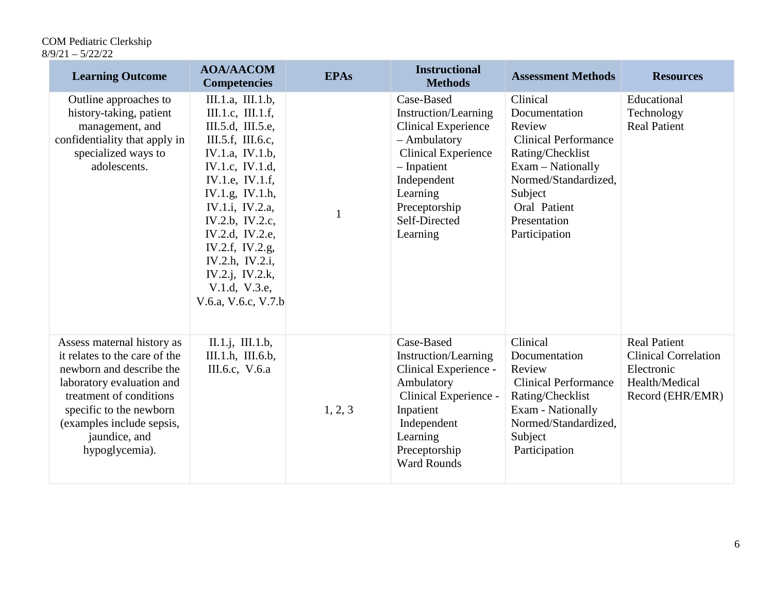| <b>Learning Outcome</b>                                                                                                                                                                                                                    | <b>AOA/AACOM</b><br><b>Competencies</b>                                                                                                                                                                                                                                                                                | <b>EPAs</b> | <b>Instructional</b><br><b>Methods</b>                                                                                                                                                                   | <b>Assessment Methods</b>                                                                                                                                                                       | <b>Resources</b>                                                                                       |
|--------------------------------------------------------------------------------------------------------------------------------------------------------------------------------------------------------------------------------------------|------------------------------------------------------------------------------------------------------------------------------------------------------------------------------------------------------------------------------------------------------------------------------------------------------------------------|-------------|----------------------------------------------------------------------------------------------------------------------------------------------------------------------------------------------------------|-------------------------------------------------------------------------------------------------------------------------------------------------------------------------------------------------|--------------------------------------------------------------------------------------------------------|
| Outline approaches to<br>history-taking, patient<br>management, and<br>confidentiality that apply in<br>specialized ways to<br>adolescents.                                                                                                | III.1.a, III.1.b,<br>III.1.c, III.1.f,<br>III.5.d, III.5.e,<br>III.5.f, III.6.c,<br>IV.1.a, IV.1.b,<br>IV.1.c, IV.1.d,<br>IV.1.e, IV.1.f,<br>IV.1.g, IV.1.h,<br>IV.1.i, IV.2.a,<br>IV.2.b, IV.2.c,<br>IV.2.d, IV.2.e,<br>IV.2.f, IV.2.g,<br>IV.2.h, IV.2.i,<br>IV.2.j, IV.2.k,<br>V.1.d, V.3.e,<br>V.6.a, V.6.c, V.7.b | 1           | Case-Based<br>Instruction/Learning<br><b>Clinical Experience</b><br>- Ambulatory<br><b>Clinical Experience</b><br>$-$ Inpatient<br>Independent<br>Learning<br>Preceptorship<br>Self-Directed<br>Learning | Clinical<br>Documentation<br>Review<br><b>Clinical Performance</b><br>Rating/Checklist<br>Exam – Nationally<br>Normed/Standardized,<br>Subject<br>Oral Patient<br>Presentation<br>Participation | Educational<br>Technology<br><b>Real Patient</b>                                                       |
| Assess maternal history as<br>it relates to the care of the<br>newborn and describe the<br>laboratory evaluation and<br>treatment of conditions<br>specific to the newborn<br>(examples include sepsis,<br>jaundice, and<br>hypoglycemia). | II.1.j, III.1.b,<br>III.1.h, III.6.b,<br>III.6.c, V.6.a                                                                                                                                                                                                                                                                | 1, 2, 3     | Case-Based<br>Instruction/Learning<br>Clinical Experience -<br>Ambulatory<br>Clinical Experience -<br>Inpatient<br>Independent<br>Learning<br>Preceptorship<br><b>Ward Rounds</b>                        | Clinical<br>Documentation<br>Review<br><b>Clinical Performance</b><br>Rating/Checklist<br>Exam - Nationally<br>Normed/Standardized,<br>Subject<br>Participation                                 | <b>Real Patient</b><br><b>Clinical Correlation</b><br>Electronic<br>Health/Medical<br>Record (EHR/EMR) |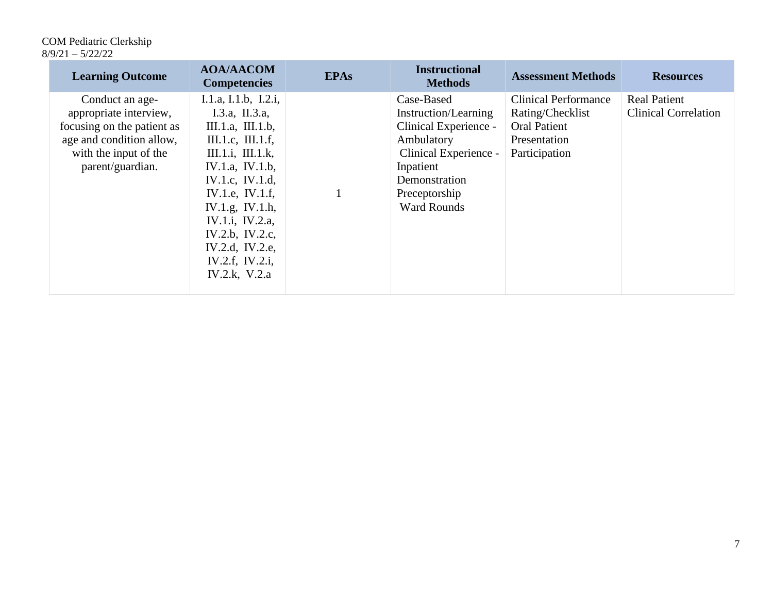| <b>Learning Outcome</b>                                                                                                                          | <b>AOA/AACOM</b><br><b>Competencies</b>                                                                                                                                                                                                                                          | <b>EPAs</b> | <b>Instructional</b><br><b>Methods</b>                                                                                                                                  | <b>Assessment Methods</b>                                                                               | <b>Resources</b>                                   |
|--------------------------------------------------------------------------------------------------------------------------------------------------|----------------------------------------------------------------------------------------------------------------------------------------------------------------------------------------------------------------------------------------------------------------------------------|-------------|-------------------------------------------------------------------------------------------------------------------------------------------------------------------------|---------------------------------------------------------------------------------------------------------|----------------------------------------------------|
| Conduct an age-<br>appropriate interview,<br>focusing on the patient as<br>age and condition allow,<br>with the input of the<br>parent/guardian. | I.1.a, I.1.b, I.2.i,<br>I.3.a, II.3.a,<br>III.1.a, III.1.b,<br>III.1.c, III.1.f,<br>III.1.i, III.1.k,<br>IV.1.a, IV.1.b,<br>IV.1.c, IV.1.d,<br>IV.1.e, IV.1.f,<br>IV.1.g, IV.1.h,<br>IV.1.i, IV.2.a,<br>IV.2.b, IV.2.c,<br>IV.2.d, IV.2.e,<br>IV.2.f, IV.2.i,<br>IV.2.k, $V.2.a$ |             | Case-Based<br>Instruction/Learning<br>Clinical Experience -<br>Ambulatory<br>Clinical Experience -<br>Inpatient<br>Demonstration<br>Preceptorship<br><b>Ward Rounds</b> | <b>Clinical Performance</b><br>Rating/Checklist<br><b>Oral Patient</b><br>Presentation<br>Participation | <b>Real Patient</b><br><b>Clinical Correlation</b> |
|                                                                                                                                                  |                                                                                                                                                                                                                                                                                  |             |                                                                                                                                                                         |                                                                                                         |                                                    |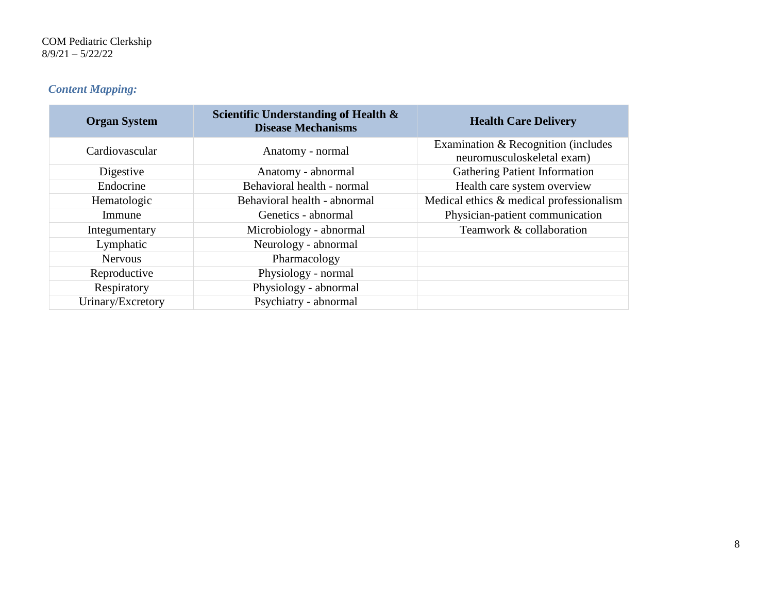# *Content Mapping:*

| <b>Organ System</b> | Scientific Understanding of Health &<br><b>Disease Mechanisms</b> | <b>Health Care Delivery</b>                                       |
|---------------------|-------------------------------------------------------------------|-------------------------------------------------------------------|
| Cardiovascular      | Anatomy - normal                                                  | Examination & Recognition (includes<br>neuromusculoskeletal exam) |
| Digestive           | Anatomy - abnormal                                                | <b>Gathering Patient Information</b>                              |
| Endocrine           | Behavioral health - normal                                        | Health care system overview                                       |
| Hematologic         | Behavioral health - abnormal                                      | Medical ethics & medical professionalism                          |
| Immune              | Genetics - abnormal                                               | Physician-patient communication                                   |
| Integumentary       | Microbiology - abnormal                                           | Teamwork & collaboration                                          |
| Lymphatic           | Neurology - abnormal                                              |                                                                   |
| <b>Nervous</b>      | Pharmacology                                                      |                                                                   |
| Reproductive        | Physiology - normal                                               |                                                                   |
| Respiratory         | Physiology - abnormal                                             |                                                                   |
| Urinary/Excretory   | Psychiatry - abnormal                                             |                                                                   |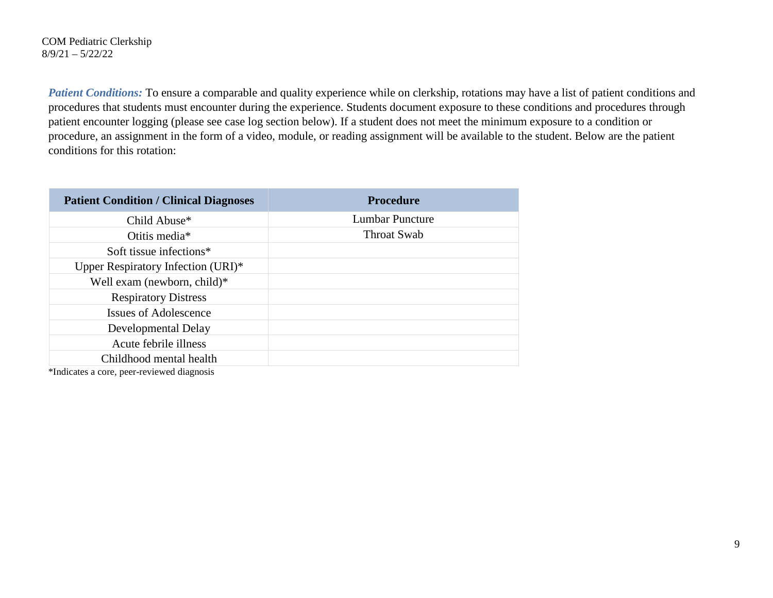*Patient Conditions:* To ensure a comparable and quality experience while on clerkship, rotations may have a list of patient conditions and procedures that students must encounter during the experience. Students document exposure to these conditions and procedures through patient encounter logging (please see case log section below). If a student does not meet the minimum exposure to a condition or procedure, an assignment in the form of a video, module, or reading assignment will be available to the student. Below are the patient conditions for this rotation:

| <b>Patient Condition / Clinical Diagnoses</b> | <b>Procedure</b>       |
|-----------------------------------------------|------------------------|
| Child Abuse*                                  | <b>Lumbar Puncture</b> |
| Otitis media*                                 | Throat Swab            |
| Soft tissue infections*                       |                        |
| Upper Respiratory Infection (URI)*            |                        |
| Well exam (newborn, child)*                   |                        |
| <b>Respiratory Distress</b>                   |                        |
| Issues of Adolescence                         |                        |
| Developmental Delay                           |                        |
| Acute febrile illness                         |                        |
| Childhood mental health                       |                        |
| *La dia atao ny araon-paositra dia 41208.     |                        |

\*Indicates a core, peer-reviewed diagnosis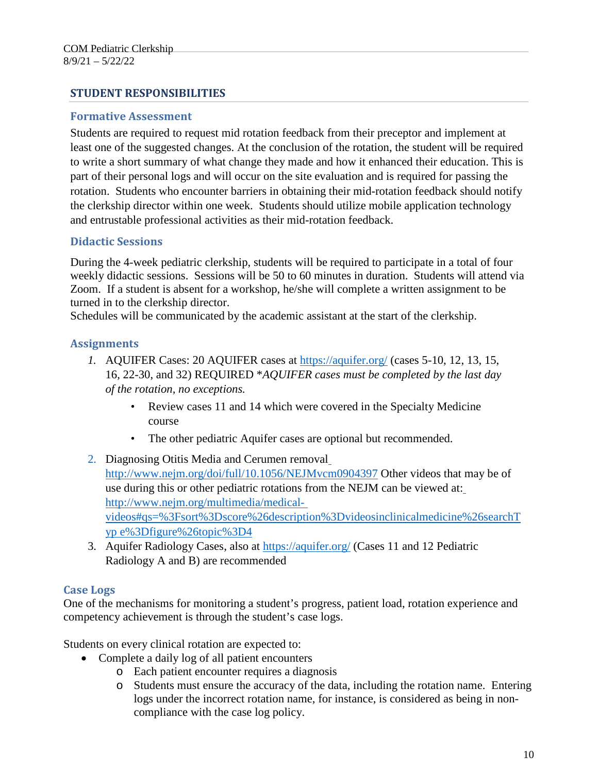#### **STUDENT RESPONSIBILITIES**

#### **Formative Assessment**

Students are required to request mid rotation feedback from their preceptor and implement at least one of the suggested changes. At the conclusion of the rotation, the student will be required to write a short summary of what change they made and how it enhanced their education. This is part of their personal logs and will occur on the site evaluation and is required for passing the rotation. Students who encounter barriers in obtaining their mid-rotation feedback should notify the clerkship director within one week. Students should utilize mobile application technology and entrustable professional activities as their mid-rotation feedback.

#### **Didactic Sessions**

During the 4-week pediatric clerkship, students will be required to participate in a total of four weekly didactic sessions. Sessions will be 50 to 60 minutes in duration. Students will attend via Zoom. If a student is absent for a workshop, he/she will complete a written assignment to be turned in to the clerkship director.

Schedules will be communicated by the academic assistant at the start of the clerkship.

#### **Assignments**

- *1.* AQUIFER Cases: 20 AQUIFER cases at <https://aquifer.org/> (cases 5-10, 12, 13, 15, 16, 22-30, and 32) REQUIRED \**AQUIFER cases must be completed by the last day of the rotation, no exceptions.*
	- Review cases 11 and 14 which were covered in the Specialty Medicine course
	- The other pediatric Aquifer cases are optional but recommended.
- 2. Diagnosing Otitis Media and Cerumen removal <http://www.nejm.org/doi/full/10.1056/NEJMvcm0904397> Other videos that may be of use during this or other pediatric rotations from the NEJM can be viewed at[:](http://www.nejm.org/multimedia/medical-videos#qs%3D%3Fsort%3Dscore%26description%3Dvideosinclinicalmedicine%26searchType%3Dfigure%26topic%3D4) [http://www.nejm.org/multimedia/medical](http://www.nejm.org/multimedia/medical-videos#qs%3D%3Fsort%3Dscore%26description%3Dvideosinclinicalmedicine%26searchType%3Dfigure%26topic%3D4)[videos#qs=%3Fsort%3Dscore%26description%3Dvideosinclinicalmedicine%26searchT](http://www.nejm.org/multimedia/medical-videos#qs%3D%3Fsort%3Dscore%26description%3Dvideosinclinicalmedicine%26searchType%3Dfigure%26topic%3D4) [yp](http://www.nejm.org/multimedia/medical-videos#qs%3D%3Fsort%3Dscore%26description%3Dvideosinclinicalmedicine%26searchType%3Dfigure%26topic%3D4) [e%3Dfigure%26topic%3D4](http://www.nejm.org/multimedia/medical-videos#qs%3D%3Fsort%3Dscore%26description%3Dvideosinclinicalmedicine%26searchType%3Dfigure%26topic%3D4)
- 3. Aquifer Radiology Cases, also at <https://aquifer.org/> (Cases 11 and 12 Pediatric Radiology A and B) are recommended

### **Case Logs**

One of the mechanisms for monitoring a student's progress, patient load, rotation experience and competency achievement is through the student's case logs.

Students on every clinical rotation are expected to:

- Complete a daily log of all patient encounters
	- o Each patient encounter requires a diagnosis
	- o Students must ensure the accuracy of the data, including the rotation name. Entering logs under the incorrect rotation name, for instance, is considered as being in noncompliance with the case log policy.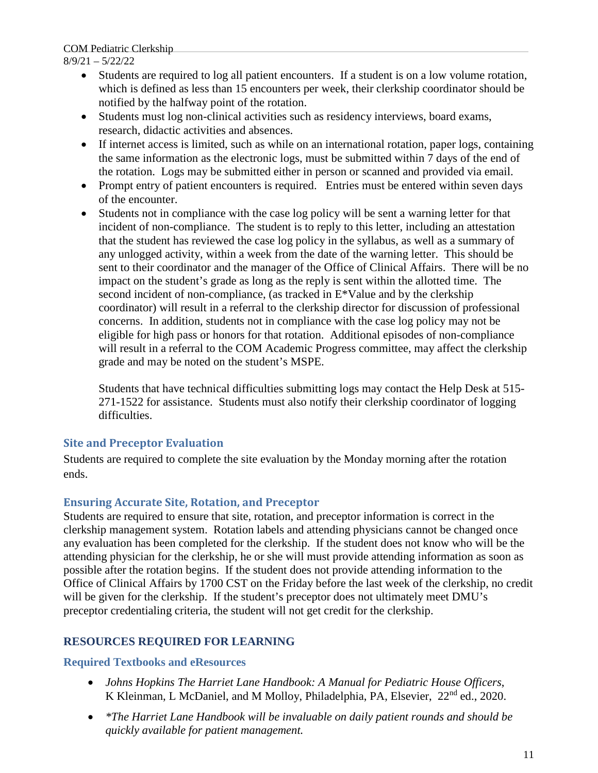COM Pediatric Clerkship

#### 8/9/21 – 5/22/22

- Students are required to log all patient encounters. If a student is on a low volume rotation, which is defined as less than 15 encounters per week, their clerkship coordinator should be notified by the halfway point of the rotation.
- Students must log non-clinical activities such as residency interviews, board exams, research, didactic activities and absences.
- If internet access is limited, such as while on an international rotation, paper logs, containing the same information as the electronic logs, must be submitted within 7 days of the end of the rotation. Logs may be submitted either in person or scanned and provided via email.
- Prompt entry of patient encounters is required. Entries must be entered within seven days of the encounter.
- Students not in compliance with the case log policy will be sent a warning letter for that incident of non-compliance. The student is to reply to this letter, including an attestation that the student has reviewed the case log policy in the syllabus, as well as a summary of any unlogged activity, within a week from the date of the warning letter. This should be sent to their coordinator and the manager of the Office of Clinical Affairs. There will be no impact on the student's grade as long as the reply is sent within the allotted time. The second incident of non-compliance, (as tracked in E\*Value and by the clerkship coordinator) will result in a referral to the clerkship director for discussion of professional concerns. In addition, students not in compliance with the case log policy may not be eligible for high pass or honors for that rotation. Additional episodes of non-compliance will result in a referral to the COM Academic Progress committee, may affect the clerkship grade and may be noted on the student's MSPE.

Students that have technical difficulties submitting logs may contact the Help Desk at 515- 271-1522 for assistance. Students must also notify their clerkship coordinator of logging difficulties.

# **Site and Preceptor Evaluation**

Students are required to complete the site evaluation by the Monday morning after the rotation ends.

# **Ensuring Accurate Site, Rotation, and Preceptor**

Students are required to ensure that site, rotation, and preceptor information is correct in the clerkship management system. Rotation labels and attending physicians cannot be changed once any evaluation has been completed for the clerkship. If the student does not know who will be the attending physician for the clerkship, he or she will must provide attending information as soon as possible after the rotation begins. If the student does not provide attending information to the Office of Clinical Affairs by 1700 CST on the Friday before the last week of the clerkship, no credit will be given for the clerkship. If the student's preceptor does not ultimately meet DMU's preceptor credentialing criteria, the student will not get credit for the clerkship.

# **RESOURCES REQUIRED FOR LEARNING**

### **Required Textbooks and eResources**

- *Johns Hopkins The Harriet Lane Handbook: A Manual for Pediatric House Officers*, K Kleinman, L McDaniel, and M Molloy, Philadelphia, PA, Elsevier, 22<sup>nd</sup> ed., 2020.
- *\*The Harriet Lane Handbook will be invaluable on daily patient rounds and should be quickly available for patient management.*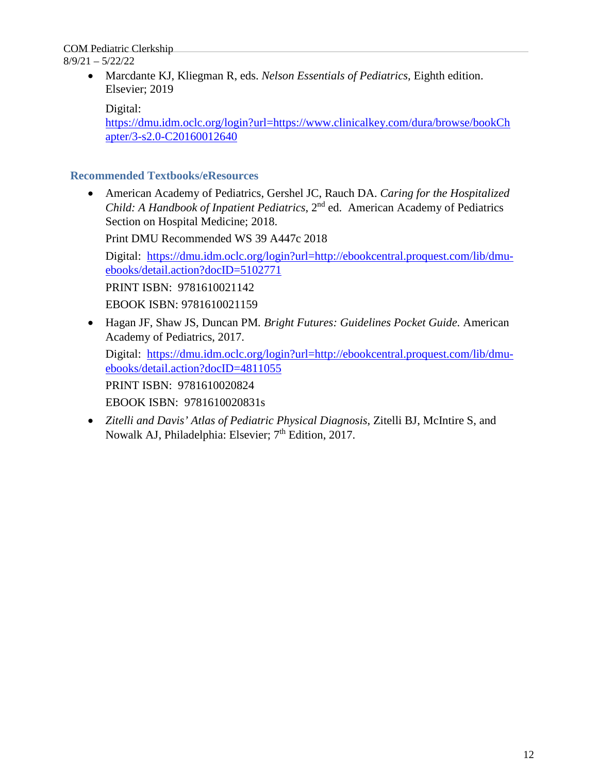> • Marcdante KJ, Kliegman R, eds. *Nelson Essentials of Pediatrics,* Eighth edition. Elsevier; 2019

Digital:

[https://dmu.idm.oclc.org/login?url=https://www.clinicalkey.com/dura/browse/bookCh](https://dmu.idm.oclc.org/login?url=https://www.clinicalkey.com/dura/browse/bookChapter/3-s2.0-C20160012640) [apter/3-s2.0-C20160012640](https://dmu.idm.oclc.org/login?url=https://www.clinicalkey.com/dura/browse/bookChapter/3-s2.0-C20160012640)

## **Recommended Textbooks/eResources**

• American Academy of Pediatrics, Gershel JC, Rauch DA. *Caring for the Hospitalized Child: A Handbook of Inpatient Pediatrics*, 2<sup>nd</sup> ed. American Academy of Pediatrics Section on Hospital Medicine; 2018.

Print DMU Recommended WS 39 A447c 2018

Digital: [https://dmu.idm.oclc.org/login?url=http://ebookcentral.proquest.com/lib/dmu](https://dmu.idm.oclc.org/login?url=http://ebookcentral.proquest.com/lib/dmu-ebooks/detail.action?docID=5102771)[ebooks/detail.action?docID=5102771](https://dmu.idm.oclc.org/login?url=http://ebookcentral.proquest.com/lib/dmu-ebooks/detail.action?docID=5102771)

PRINT ISBN: 9781610021142 EBOOK ISBN: 9781610021159

• Hagan JF, Shaw JS, Duncan PM*. Bright Futures: Guidelines Pocket Guide.* American Academy of Pediatrics, 2017.

Digital: [https://dmu.idm.oclc.org/login?url=http://ebookcentral.proquest.com/lib/dmu](https://dmu.idm.oclc.org/login?url=http://ebookcentral.proquest.com/lib/dmu-ebooks/detail.action?docID=4811055)[ebooks/detail.action?docID=4811055](https://dmu.idm.oclc.org/login?url=http://ebookcentral.proquest.com/lib/dmu-ebooks/detail.action?docID=4811055)

PRINT ISBN: 9781610020824

EBOOK ISBN: 9781610020831s

• *Zitelli and Davis' Atlas of Pediatric Physical Diagnosis*, Zitelli BJ, McIntire S, and Nowalk AJ, Philadelphia: Elsevier;  $7<sup>th</sup>$  Edition, 2017.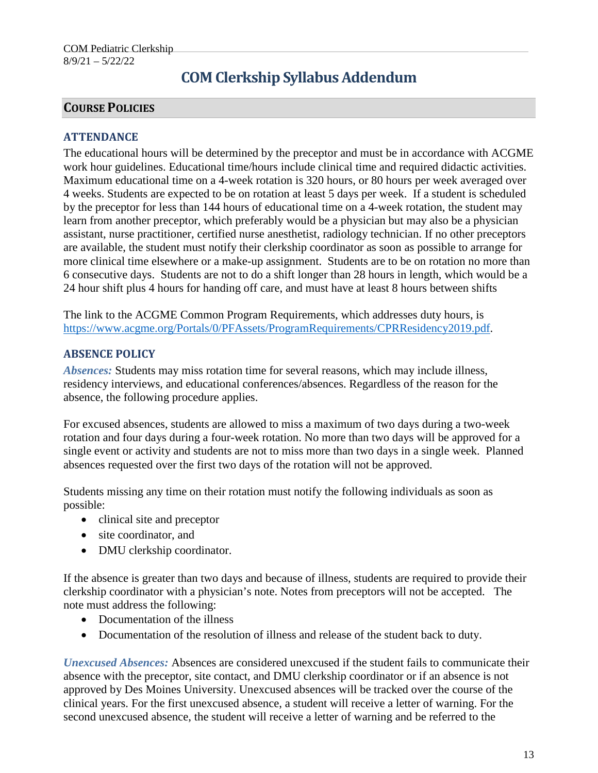# **COM Clerkship Syllabus Addendum**

# **COURSE POLICIES**

### **ATTENDANCE**

The educational hours will be determined by the preceptor and must be in accordance with ACGME work hour guidelines. Educational time/hours include clinical time and required didactic activities. Maximum educational time on a 4-week rotation is 320 hours, or 80 hours per week averaged over 4 weeks. Students are expected to be on rotation at least 5 days per week. If a student is scheduled by the preceptor for less than 144 hours of educational time on a 4-week rotation, the student may learn from another preceptor, which preferably would be a physician but may also be a physician assistant, nurse practitioner, certified nurse anesthetist, radiology technician. If no other preceptors are available, the student must notify their clerkship coordinator as soon as possible to arrange for more clinical time elsewhere or a make-up assignment. Students are to be on rotation no more than 6 consecutive days. Students are not to do a shift longer than 28 hours in length, which would be a 24 hour shift plus 4 hours for handing off care, and must have at least 8 hours between shifts

The link to the ACGME Common Program Requirements, which addresses duty hours, is [https://www.acgme.org/Portals/0/PFAssets/ProgramRequirements/CPRResidency2019.pdf.](https://www.acgme.org/Portals/0/PFAssets/ProgramRequirements/CPRResidency2019.pdf)

#### **ABSENCE POLICY**

*Absences:* Students may miss rotation time for several reasons, which may include illness, residency interviews, and educational conferences/absences. Regardless of the reason for the absence, the following procedure applies.

For excused absences, students are allowed to miss a maximum of two days during a two-week rotation and four days during a four-week rotation. No more than two days will be approved for a single event or activity and students are not to miss more than two days in a single week. Planned absences requested over the first two days of the rotation will not be approved.

Students missing any time on their rotation must notify the following individuals as soon as possible:

- clinical site and preceptor
- site coordinator, and
- DMU clerkship coordinator.

If the absence is greater than two days and because of illness, students are required to provide their clerkship coordinator with a physician's note. Notes from preceptors will not be accepted. The note must address the following:

- Documentation of the illness
- Documentation of the resolution of illness and release of the student back to duty.

*Unexcused Absences:* Absences are considered unexcused if the student fails to communicate their absence with the preceptor, site contact, and DMU clerkship coordinator or if an absence is not approved by Des Moines University. Unexcused absences will be tracked over the course of the clinical years. For the first unexcused absence, a student will receive a letter of warning. For the second unexcused absence, the student will receive a letter of warning and be referred to the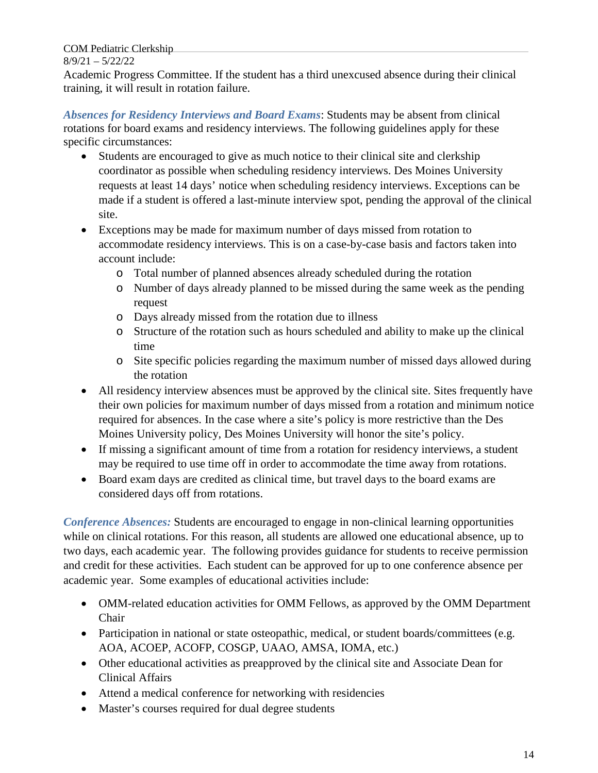Academic Progress Committee. If the student has a third unexcused absence during their clinical training, it will result in rotation failure.

*Absences for Residency Interviews and Board Exams*: Students may be absent from clinical rotations for board exams and residency interviews. The following guidelines apply for these specific circumstances:

- Students are encouraged to give as much notice to their clinical site and clerkship coordinator as possible when scheduling residency interviews. Des Moines University requests at least 14 days' notice when scheduling residency interviews. Exceptions can be made if a student is offered a last-minute interview spot, pending the approval of the clinical site.
- Exceptions may be made for maximum number of days missed from rotation to accommodate residency interviews. This is on a case-by-case basis and factors taken into account include:
	- o Total number of planned absences already scheduled during the rotation
	- o Number of days already planned to be missed during the same week as the pending request
	- o Days already missed from the rotation due to illness
	- o Structure of the rotation such as hours scheduled and ability to make up the clinical time
	- o Site specific policies regarding the maximum number of missed days allowed during the rotation
- All residency interview absences must be approved by the clinical site. Sites frequently have their own policies for maximum number of days missed from a rotation and minimum notice required for absences. In the case where a site's policy is more restrictive than the Des Moines University policy, Des Moines University will honor the site's policy.
- If missing a significant amount of time from a rotation for residency interviews, a student may be required to use time off in order to accommodate the time away from rotations.
- Board exam days are credited as clinical time, but travel days to the board exams are considered days off from rotations.

*Conference Absences:* Students are encouraged to engage in non-clinical learning opportunities while on clinical rotations. For this reason, all students are allowed one educational absence, up to two days, each academic year. The following provides guidance for students to receive permission and credit for these activities. Each student can be approved for up to one conference absence per academic year. Some examples of educational activities include:

- OMM-related education activities for OMM Fellows, as approved by the OMM Department Chair
- Participation in national or state osteopathic, medical, or student boards/committees (e.g. AOA, ACOEP, ACOFP, COSGP, UAAO, AMSA, IOMA, etc.)
- Other educational activities as preapproved by the clinical site and Associate Dean for Clinical Affairs
- Attend a medical conference for networking with residencies
- Master's courses required for dual degree students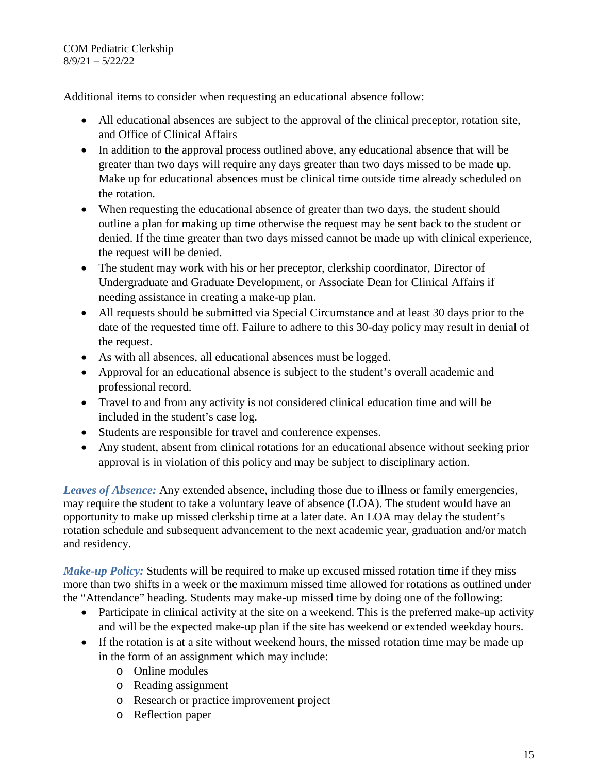Additional items to consider when requesting an educational absence follow:

- All educational absences are subject to the approval of the clinical preceptor, rotation site, and Office of Clinical Affairs
- In addition to the approval process outlined above, any educational absence that will be greater than two days will require any days greater than two days missed to be made up. Make up for educational absences must be clinical time outside time already scheduled on the rotation.
- When requesting the educational absence of greater than two days, the student should outline a plan for making up time otherwise the request may be sent back to the student or denied. If the time greater than two days missed cannot be made up with clinical experience, the request will be denied.
- The student may work with his or her preceptor, clerkship coordinator, Director of Undergraduate and Graduate Development, or Associate Dean for Clinical Affairs if needing assistance in creating a make-up plan.
- All requests should be submitted via Special Circumstance and at least 30 days prior to the date of the requested time off. Failure to adhere to this 30-day policy may result in denial of the request.
- As with all absences, all educational absences must be logged.
- Approval for an educational absence is subject to the student's overall academic and professional record.
- Travel to and from any activity is not considered clinical education time and will be included in the student's case log.
- Students are responsible for travel and conference expenses.
- Any student, absent from clinical rotations for an educational absence without seeking prior approval is in violation of this policy and may be subject to disciplinary action.

*Leaves of Absence:* Any extended absence, including those due to illness or family emergencies, may require the student to take a voluntary leave of absence (LOA). The student would have an opportunity to make up missed clerkship time at a later date. An LOA may delay the student's rotation schedule and subsequent advancement to the next academic year, graduation and/or match and residency.

*Make-up Policy:* Students will be required to make up excused missed rotation time if they miss more than two shifts in a week or the maximum missed time allowed for rotations as outlined under the "Attendance" heading. Students may make-up missed time by doing one of the following:

- Participate in clinical activity at the site on a weekend. This is the preferred make-up activity and will be the expected make-up plan if the site has weekend or extended weekday hours.
- If the rotation is at a site without weekend hours, the missed rotation time may be made up in the form of an assignment which may include:
	- o Online modules
	- o Reading assignment
	- o Research or practice improvement project
	- o Reflection paper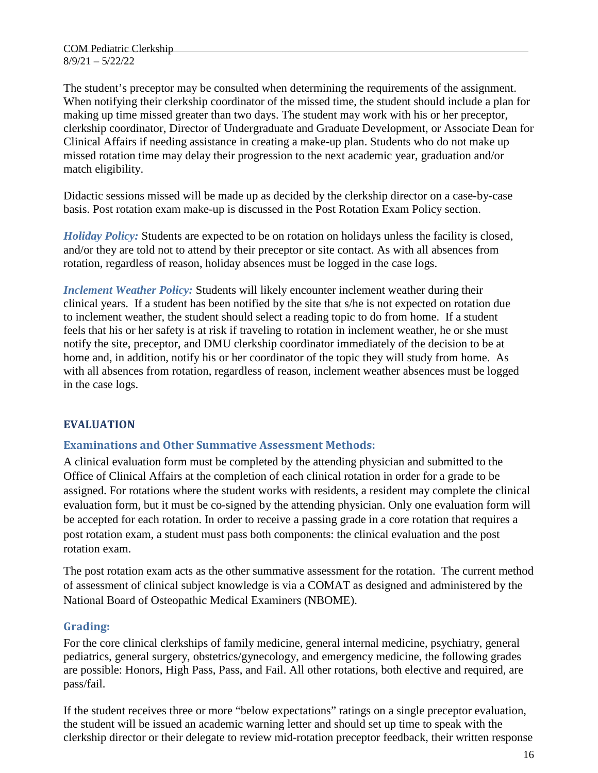The student's preceptor may be consulted when determining the requirements of the assignment. When notifying their clerkship coordinator of the missed time, the student should include a plan for making up time missed greater than two days. The student may work with his or her preceptor, clerkship coordinator, Director of Undergraduate and Graduate Development, or Associate Dean for Clinical Affairs if needing assistance in creating a make-up plan. Students who do not make up missed rotation time may delay their progression to the next academic year, graduation and/or match eligibility.

Didactic sessions missed will be made up as decided by the clerkship director on a case-by-case basis. Post rotation exam make-up is discussed in the Post Rotation Exam Policy section.

*Holiday Policy:* Students are expected to be on rotation on holidays unless the facility is closed, and/or they are told not to attend by their preceptor or site contact. As with all absences from rotation, regardless of reason, holiday absences must be logged in the case logs.

*Inclement Weather Policy:* Students will likely encounter inclement weather during their clinical years. If a student has been notified by the site that s/he is not expected on rotation due to inclement weather, the student should select a reading topic to do from home. If a student feels that his or her safety is at risk if traveling to rotation in inclement weather, he or she must notify the site, preceptor, and DMU clerkship coordinator immediately of the decision to be at home and, in addition, notify his or her coordinator of the topic they will study from home. As with all absences from rotation, regardless of reason, inclement weather absences must be logged in the case logs.

# **EVALUATION**

### **Examinations and Other Summative Assessment Methods:**

A clinical evaluation form must be completed by the attending physician and submitted to the Office of Clinical Affairs at the completion of each clinical rotation in order for a grade to be assigned. For rotations where the student works with residents, a resident may complete the clinical evaluation form, but it must be co-signed by the attending physician. Only one evaluation form will be accepted for each rotation. In order to receive a passing grade in a core rotation that requires a post rotation exam, a student must pass both components: the clinical evaluation and the post rotation exam.

The post rotation exam acts as the other summative assessment for the rotation. The current method of assessment of clinical subject knowledge is via a COMAT as designed and administered by the National Board of Osteopathic Medical Examiners (NBOME).

### **Grading:**

For the core clinical clerkships of family medicine, general internal medicine, psychiatry, general pediatrics, general surgery, obstetrics/gynecology, and emergency medicine, the following grades are possible: Honors, High Pass, Pass, and Fail. All other rotations, both elective and required, are pass/fail.

If the student receives three or more "below expectations" ratings on a single preceptor evaluation, the student will be issued an academic warning letter and should set up time to speak with the clerkship director or their delegate to review mid-rotation preceptor feedback, their written response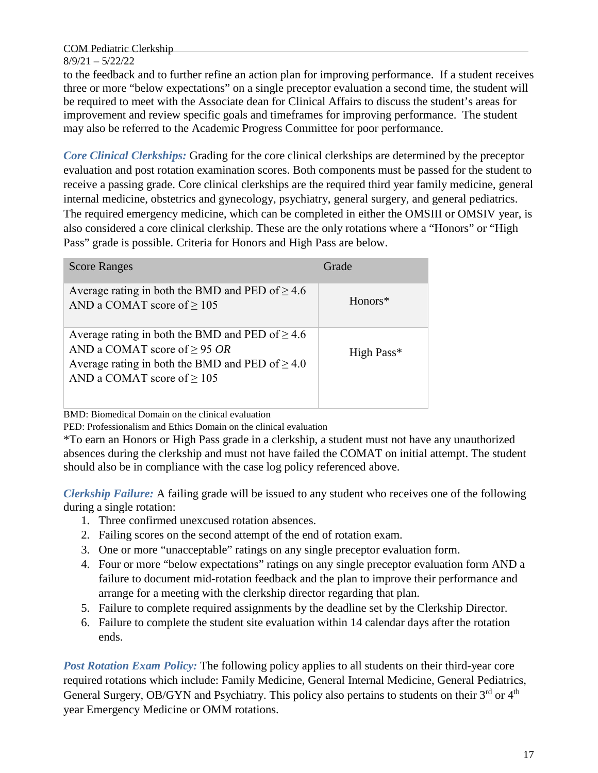to the feedback and to further refine an action plan for improving performance. If a student receives three or more "below expectations" on a single preceptor evaluation a second time, the student will be required to meet with the Associate dean for Clinical Affairs to discuss the student's areas for improvement and review specific goals and timeframes for improving performance. The student may also be referred to the Academic Progress Committee for poor performance.

*Core Clinical Clerkships:* Grading for the core clinical clerkships are determined by the preceptor evaluation and post rotation examination scores. Both components must be passed for the student to receive a passing grade. Core clinical clerkships are the required third year family medicine, general internal medicine, obstetrics and gynecology, psychiatry, general surgery, and general pediatrics. The required emergency medicine, which can be completed in either the OMSIII or OMSIV year, is also considered a core clinical clerkship. These are the only rotations where a "Honors" or "High Pass" grade is possible. Criteria for Honors and High Pass are below.

| <b>Score Ranges</b>                                                                                                                                                                  | Grade      |
|--------------------------------------------------------------------------------------------------------------------------------------------------------------------------------------|------------|
| Average rating in both the BMD and PED of $\geq 4.6$<br>AND a COMAT score of $\geq 105$                                                                                              | Honors*    |
| Average rating in both the BMD and PED of $\geq 4.6$<br>AND a COMAT score of $\geq$ 95 OR<br>Average rating in both the BMD and PED of $\geq 4.0$<br>AND a COMAT score of $\geq$ 105 | High Pass* |

BMD: Biomedical Domain on the clinical evaluation

PED: Professionalism and Ethics Domain on the clinical evaluation

\*To earn an Honors or High Pass grade in a clerkship, a student must not have any unauthorized absences during the clerkship and must not have failed the COMAT on initial attempt. The student should also be in compliance with the case log policy referenced above.

*Clerkship Failure:* A failing grade will be issued to any student who receives one of the following during a single rotation:

- 1. Three confirmed unexcused rotation absences.
- 2. Failing scores on the second attempt of the end of rotation exam.
- 3. One or more "unacceptable" ratings on any single preceptor evaluation form.
- 4. Four or more "below expectations" ratings on any single preceptor evaluation form AND a failure to document mid-rotation feedback and the plan to improve their performance and arrange for a meeting with the clerkship director regarding that plan.
- 5. Failure to complete required assignments by the deadline set by the Clerkship Director.
- 6. Failure to complete the student site evaluation within 14 calendar days after the rotation ends.

*Post Rotation Exam Policy:* The following policy applies to all students on their third-year core required rotations which include: Family Medicine, General Internal Medicine, General Pediatrics, General Surgery, OB/GYN and Psychiatry. This policy also pertains to students on their 3rd or 4<sup>th</sup> year Emergency Medicine or OMM rotations.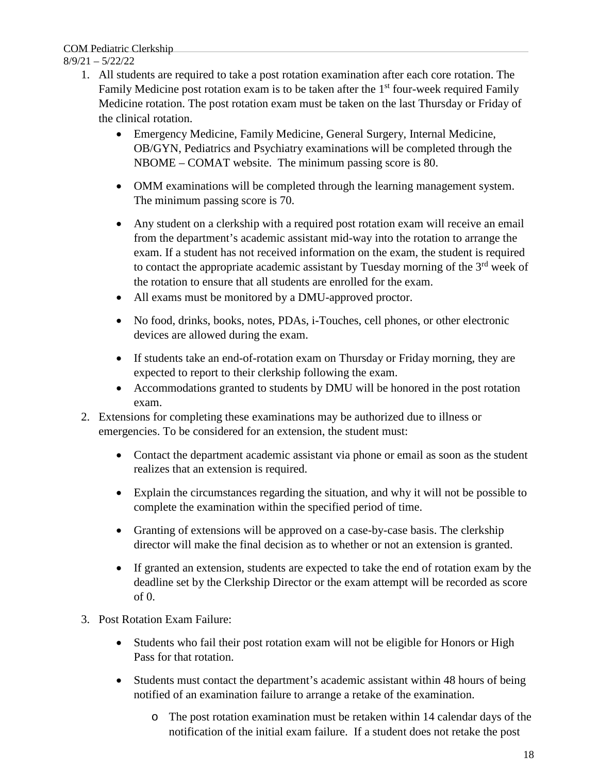# COM Pediatric Clerkship

## 8/9/21 – 5/22/22

- 1. All students are required to take a post rotation examination after each core rotation. The Family Medicine post rotation exam is to be taken after the  $1<sup>st</sup>$  four-week required Family Medicine rotation. The post rotation exam must be taken on the last Thursday or Friday of the clinical rotation.
	- Emergency Medicine, Family Medicine, General Surgery, Internal Medicine, OB/GYN, Pediatrics and Psychiatry examinations will be completed through the NBOME – COMAT website. The minimum passing score is 80.
	- OMM examinations will be completed through the learning management system. The minimum passing score is 70.
	- Any student on a clerkship with a required post rotation exam will receive an email from the department's academic assistant mid-way into the rotation to arrange the exam. If a student has not received information on the exam, the student is required to contact the appropriate academic assistant by Tuesday morning of the 3<sup>rd</sup> week of the rotation to ensure that all students are enrolled for the exam.
	- All exams must be monitored by a DMU-approved proctor.
	- No food, drinks, books, notes, PDAs, i-Touches, cell phones, or other electronic devices are allowed during the exam.
	- If students take an end-of-rotation exam on Thursday or Friday morning, they are expected to report to their clerkship following the exam.
	- Accommodations granted to students by DMU will be honored in the post rotation exam.
- 2. Extensions for completing these examinations may be authorized due to illness or emergencies. To be considered for an extension, the student must:
	- Contact the department academic assistant via phone or email as soon as the student realizes that an extension is required.
	- Explain the circumstances regarding the situation, and why it will not be possible to complete the examination within the specified period of time.
	- Granting of extensions will be approved on a case-by-case basis. The clerkship director will make the final decision as to whether or not an extension is granted.
	- If granted an extension, students are expected to take the end of rotation exam by the deadline set by the Clerkship Director or the exam attempt will be recorded as score of 0.
- 3. Post Rotation Exam Failure:
	- Students who fail their post rotation exam will not be eligible for Honors or High Pass for that rotation.
	- Students must contact the department's academic assistant within 48 hours of being notified of an examination failure to arrange a retake of the examination.
		- o The post rotation examination must be retaken within 14 calendar days of the notification of the initial exam failure. If a student does not retake the post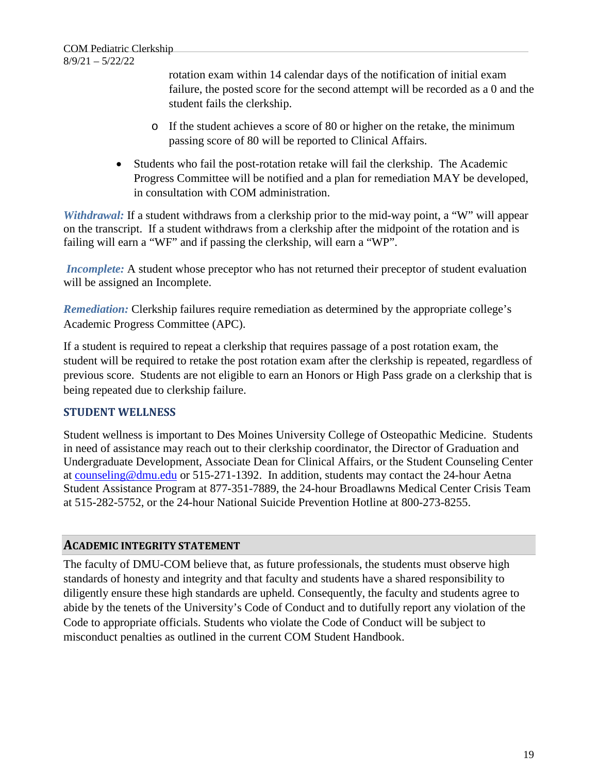rotation exam within 14 calendar days of the notification of initial exam failure, the posted score for the second attempt will be recorded as a 0 and the student fails the clerkship.

- o If the student achieves a score of 80 or higher on the retake, the minimum passing score of 80 will be reported to Clinical Affairs.
- Students who fail the post-rotation retake will fail the clerkship. The Academic Progress Committee will be notified and a plan for remediation MAY be developed, in consultation with COM administration.

*Withdrawal:* If a student withdraws from a clerkship prior to the mid-way point, a "W" will appear on the transcript. If a student withdraws from a clerkship after the midpoint of the rotation and is failing will earn a "WF" and if passing the clerkship, will earn a "WP".

*Incomplete:* A student whose preceptor who has not returned their preceptor of student evaluation will be assigned an Incomplete.

*Remediation:* Clerkship failures require remediation as determined by the appropriate college's Academic Progress Committee (APC).

If a student is required to repeat a clerkship that requires passage of a post rotation exam, the student will be required to retake the post rotation exam after the clerkship is repeated, regardless of previous score. Students are not eligible to earn an Honors or High Pass grade on a clerkship that is being repeated due to clerkship failure.

# **STUDENT WELLNESS**

Student wellness is important to Des Moines University College of Osteopathic Medicine. Students in need of assistance may reach out to their clerkship coordinator, the Director of Graduation and Undergraduate Development, Associate Dean for Clinical Affairs, or the Student Counseling Center at [counseling@dmu.edu](mailto:counseling@dmu.edu) or 515-271-1392. In addition, students may contact the 24-hour Aetna Student Assistance Program at 877-351-7889, the 24-hour Broadlawns Medical Center Crisis Team at 515-282-5752, or the 24-hour National Suicide Prevention Hotline at 800-273-8255.

# **ACADEMIC INTEGRITY STATEMENT**

The faculty of DMU-COM believe that, as future professionals, the students must observe high standards of honesty and integrity and that faculty and students have a shared responsibility to diligently ensure these high standards are upheld. Consequently, the faculty and students agree to abide by the tenets of the University's Code of Conduct and to dutifully report any violation of the Code to appropriate officials. Students who violate the Code of Conduct will be subject to misconduct penalties as outlined in the current COM Student Handbook.